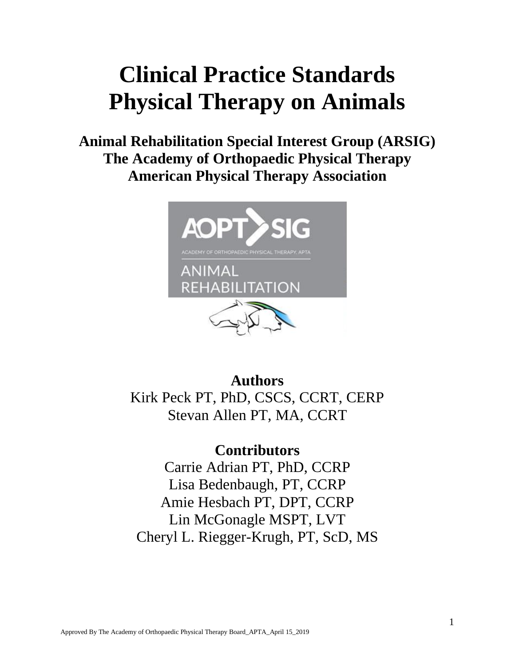# **Clinical Practice Standards Physical Therapy on Animals**

**Animal Rehabilitation Special Interest Group (ARSIG) The Academy of Orthopaedic Physical Therapy American Physical Therapy Association**



**Authors** Kirk Peck PT, PhD, CSCS, CCRT, CERP Stevan Allen PT, MA, CCRT

### **Contributors**

Carrie Adrian PT, PhD, CCRP Lisa Bedenbaugh, PT, CCRP Amie Hesbach PT, DPT, CCRP Lin McGonagle MSPT, LVT Cheryl L. Riegger-Krugh, PT, ScD, MS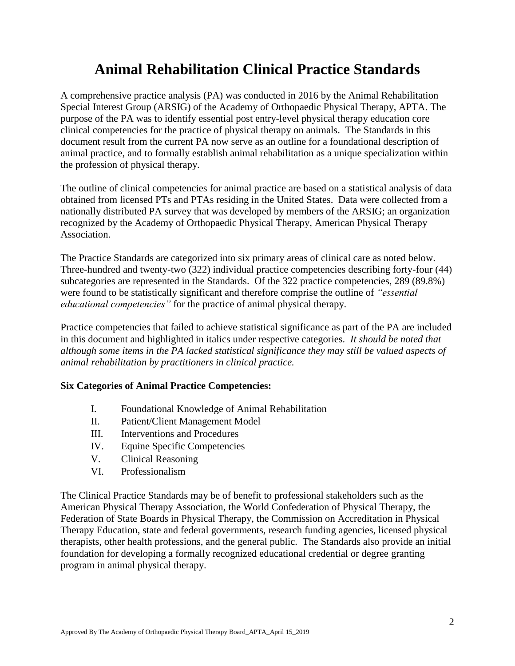### **Animal Rehabilitation Clinical Practice Standards**

A comprehensive practice analysis (PA) was conducted in 2016 by the Animal Rehabilitation Special Interest Group (ARSIG) of the Academy of Orthopaedic Physical Therapy, APTA. The purpose of the PA was to identify essential post entry-level physical therapy education core clinical competencies for the practice of physical therapy on animals. The Standards in this document result from the current PA now serve as an outline for a foundational description of animal practice, and to formally establish animal rehabilitation as a unique specialization within the profession of physical therapy.

The outline of clinical competencies for animal practice are based on a statistical analysis of data obtained from licensed PTs and PTAs residing in the United States. Data were collected from a nationally distributed PA survey that was developed by members of the ARSIG; an organization recognized by the Academy of Orthopaedic Physical Therapy, American Physical Therapy Association.

The Practice Standards are categorized into six primary areas of clinical care as noted below. Three-hundred and twenty-two (322) individual practice competencies describing forty-four (44) subcategories are represented in the Standards. Of the 322 practice competencies, 289 (89.8%) were found to be statistically significant and therefore comprise the outline of *"essential educational competencies"* for the practice of animal physical therapy.

Practice competencies that failed to achieve statistical significance as part of the PA are included in this document and highlighted in italics under respective categories. *It should be noted that although some items in the PA lacked statistical significance they may still be valued aspects of animal rehabilitation by practitioners in clinical practice.* 

#### **Six Categories of Animal Practice Competencies:**

- I. Foundational Knowledge of Animal Rehabilitation
- II. Patient/Client Management Model
- III. Interventions and Procedures
- IV. Equine Specific Competencies
- V. Clinical Reasoning
- VI. Professionalism

The Clinical Practice Standards may be of benefit to professional stakeholders such as the American Physical Therapy Association, the World Confederation of Physical Therapy, the Federation of State Boards in Physical Therapy, the Commission on Accreditation in Physical Therapy Education, state and federal governments, research funding agencies, licensed physical therapists, other health professions, and the general public. The Standards also provide an initial foundation for developing a formally recognized educational credential or degree granting program in animal physical therapy.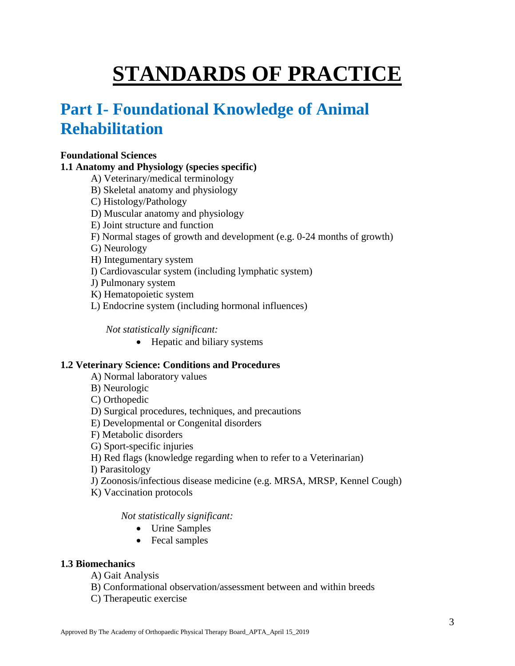# **STANDARDS OF PRACTICE**

# **Part I- Foundational Knowledge of Animal Rehabilitation**

#### **Foundational Sciences**

#### **1.1 Anatomy and Physiology (species specific)**

- A) Veterinary/medical terminology
- B) Skeletal anatomy and physiology
- C) Histology/Pathology
- D) Muscular anatomy and physiology
- E) Joint structure and function
- F) Normal stages of growth and development (e.g. 0-24 months of growth)
- G) Neurology
- H) Integumentary system
- I) Cardiovascular system (including lymphatic system)
- J) Pulmonary system
- K) Hematopoietic system
- L) Endocrine system (including hormonal influences)

*Not statistically significant:* 

• Hepatic and biliary systems

#### **1.2 Veterinary Science: Conditions and Procedures**

- A) Normal laboratory values
- B) Neurologic
- C) Orthopedic
- D) Surgical procedures, techniques, and precautions
- E) Developmental or Congenital disorders
- F) Metabolic disorders
- G) Sport-specific injuries
- H) Red flags (knowledge regarding when to refer to a Veterinarian)

I) Parasitology

- J) Zoonosis/infectious disease medicine (e.g. MRSA, MRSP, Kennel Cough)
- K) Vaccination protocols

*Not statistically significant:* 

- Urine Samples
- Fecal samples

#### **1.3 Biomechanics**

- A) Gait Analysis
- B) Conformational observation/assessment between and within breeds
- C) Therapeutic exercise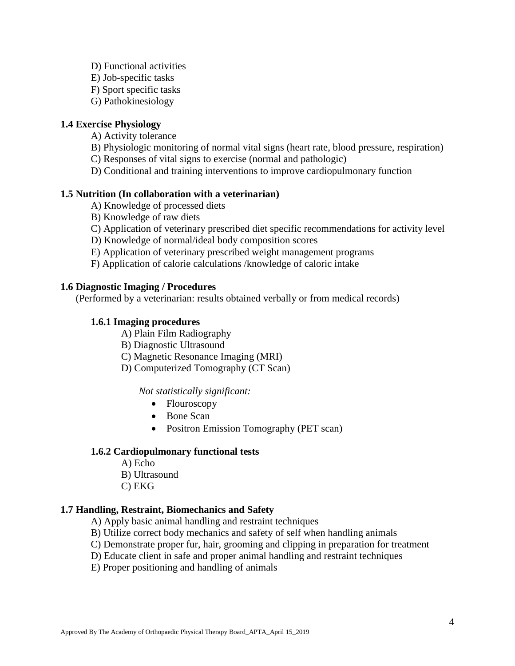- D) Functional activities
- E) Job-specific tasks
- F) Sport specific tasks
- G) Pathokinesiology

#### **1.4 Exercise Physiology**

- A) Activity tolerance
- B) Physiologic monitoring of normal vital signs (heart rate, blood pressure, respiration)
- C) Responses of vital signs to exercise (normal and pathologic)
- D) Conditional and training interventions to improve cardiopulmonary function

#### **1.5 Nutrition (In collaboration with a veterinarian)**

- A) Knowledge of processed diets
- B) Knowledge of raw diets
- C) Application of veterinary prescribed diet specific recommendations for activity level
- D) Knowledge of normal/ideal body composition scores
- E) Application of veterinary prescribed weight management programs
- F) Application of calorie calculations /knowledge of caloric intake

#### **1.6 Diagnostic Imaging / Procedures**

(Performed by a veterinarian: results obtained verbally or from medical records)

#### **1.6.1 Imaging procedures**

- A) Plain Film Radiography
- B) Diagnostic Ultrasound
- C) Magnetic Resonance Imaging (MRI)
- D) Computerized Tomography (CT Scan)

#### *Not statistically significant:*

- Flouroscopy
- Bone Scan
- Positron Emission Tomography (PET scan)

#### **1.6.2 Cardiopulmonary functional tests**

- A) Echo
- B) Ultrasound
- C) EKG

#### **1.7 Handling, Restraint, Biomechanics and Safety**

- A) Apply basic animal handling and restraint techniques
- B) Utilize correct body mechanics and safety of self when handling animals
- C) Demonstrate proper fur, hair, grooming and clipping in preparation for treatment
- D) Educate client in safe and proper animal handling and restraint techniques
- E) Proper positioning and handling of animals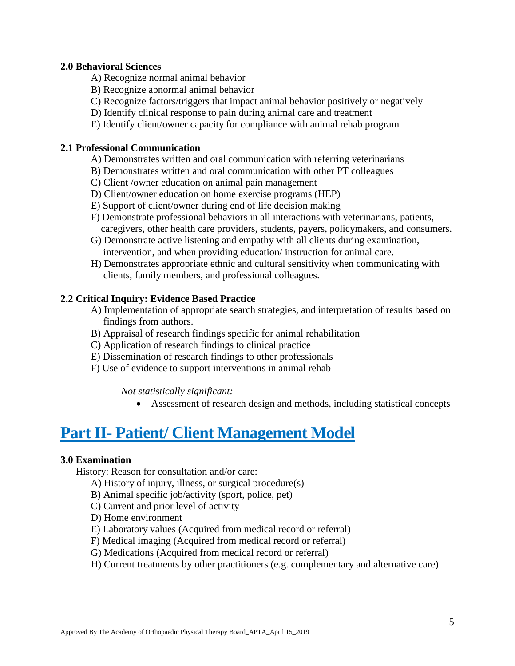#### **2.0 Behavioral Sciences**

- A) Recognize normal animal behavior
- B) Recognize abnormal animal behavior
- C) Recognize factors/triggers that impact animal behavior positively or negatively
- D) Identify clinical response to pain during animal care and treatment
- E) Identify client/owner capacity for compliance with animal rehab program

#### **2.1 Professional Communication**

- A) Demonstrates written and oral communication with referring veterinarians
- B) Demonstrates written and oral communication with other PT colleagues
- C) Client /owner education on animal pain management
- D) Client/owner education on home exercise programs (HEP)
- E) Support of client/owner during end of life decision making
- F) Demonstrate professional behaviors in all interactions with veterinarians, patients, caregivers, other health care providers, students, payers, policymakers, and consumers.
- G) Demonstrate active listening and empathy with all clients during examination, intervention, and when providing education/ instruction for animal care.
- H) Demonstrates appropriate ethnic and cultural sensitivity when communicating with clients, family members, and professional colleagues.

#### **2.2 Critical Inquiry: Evidence Based Practice**

- A) Implementation of appropriate search strategies, and interpretation of results based on findings from authors.
- B) Appraisal of research findings specific for animal rehabilitation
- C) Application of research findings to clinical practice
- E) Dissemination of research findings to other professionals
- F) Use of evidence to support interventions in animal rehab

*Not statistically significant:* 

Assessment of research design and methods, including statistical concepts

### **Part II- Patient/ Client Management Model**

#### **3.0 Examination**

History: Reason for consultation and/or care:

- A) History of injury, illness, or surgical procedure(s)
- B) Animal specific job/activity (sport, police, pet)
- C) Current and prior level of activity
- D) Home environment
- E) Laboratory values (Acquired from medical record or referral)
- F) Medical imaging (Acquired from medical record or referral)
- G) Medications (Acquired from medical record or referral)
- H) Current treatments by other practitioners (e.g. complementary and alternative care)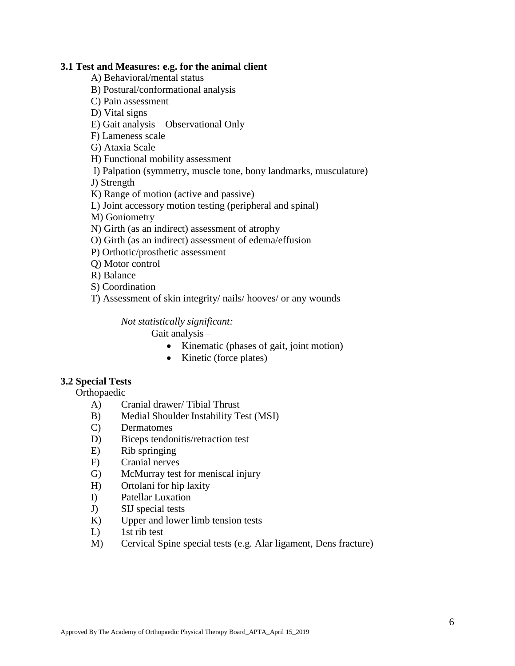#### **3.1 Test and Measures: e.g. for the animal client**

A) Behavioral/mental status

- B) Postural/conformational analysis
- C) Pain assessment

D) Vital signs

E) Gait analysis – Observational Only

F) Lameness scale

G) Ataxia Scale

H) Functional mobility assessment

I) Palpation (symmetry, muscle tone, bony landmarks, musculature)

J) Strength

K) Range of motion (active and passive)

L) Joint accessory motion testing (peripheral and spinal)

M) Goniometry

N) Girth (as an indirect) assessment of atrophy

- O) Girth (as an indirect) assessment of edema/effusion
- P) Orthotic/prosthetic assessment
- Q) Motor control

R) Balance

S) Coordination

T) Assessment of skin integrity/ nails/ hooves/ or any wounds

*Not statistically significant:* 

Gait analysis –

- Kinematic (phases of gait, joint motion)
- Kinetic (force plates)

#### **3.2 Special Tests**

Orthopaedic

- A) Cranial drawer/ Tibial Thrust
- B) Medial Shoulder Instability Test (MSI)
- C) Dermatomes
- D) Biceps tendonitis/retraction test
- E) Rib springing
- F) Cranial nerves
- G) McMurray test for meniscal injury
- H) Ortolani for hip laxity
- I) Patellar Luxation
- J) SIJ special tests
- K) Upper and lower limb tension tests
- L) 1st rib test
- M) Cervical Spine special tests (e.g. Alar ligament, Dens fracture)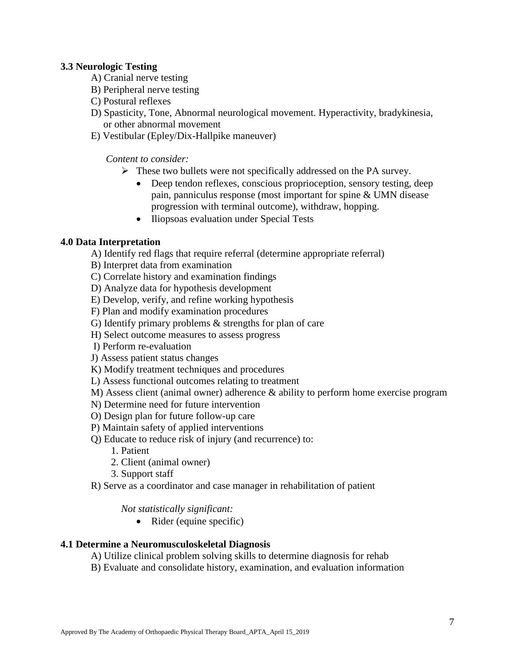#### **3.3 Neurologic Testing**

- A) Cranial nerve testing
- B) Peripheral nerve testing
- C) Postural reflexes
- D) Spasticity, Tone, Abnormal neurological movement. Hyperactivity, bradykinesia, or other abnormal movement
- E) Vestibular (Epley/Dix-Hallpike maneuver)

*Content to consider:* 

- $\triangleright$  These two bullets were not specifically addressed on the PA survey.
	- Deep tendon reflexes, conscious proprioception, sensory testing, deep pain, panniculus response (most important for spine & UMN disease progression with terminal outcome), withdraw, hopping.
	- Iliopsoas evaluation under Special Tests

#### **4.0 Data Interpretation**

A) Identify red flags that require referral (determine appropriate referral)

B) Interpret data from examination

- C) Correlate history and examination findings
- D) Analyze data for hypothesis development
- E) Develop, verify, and refine working hypothesis
- F) Plan and modify examination procedures
- G) Identify primary problems & strengths for plan of care
- H) Select outcome measures to assess progress
- I) Perform re-evaluation
- J) Assess patient status changes
- K) Modify treatment techniques and procedures
- L) Assess functional outcomes relating to treatment
- M) Assess client (animal owner) adherence & ability to perform home exercise program
- N) Determine need for future intervention
- O) Design plan for future follow-up care
- P) Maintain safety of applied interventions
- Q) Educate to reduce risk of injury (and recurrence) to:
	- 1. Patient
	- 2. Client (animal owner)
	- 3. Support staff

R) Serve as a coordinator and case manager in rehabilitation of patient

*Not statistically significant:* 

• Rider (equine specific)

#### **4.1 Determine a Neuromusculoskeletal Diagnosis**

- A) Utilize clinical problem solving skills to determine diagnosis for rehab
- B) Evaluate and consolidate history, examination, and evaluation information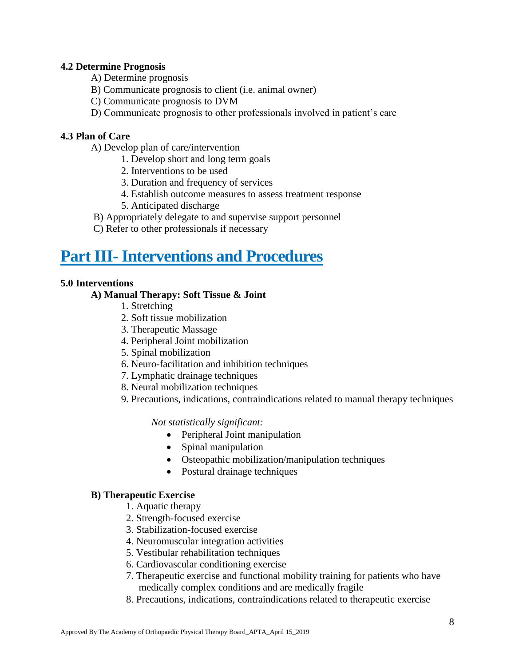#### **4.2 Determine Prognosis**

- A) Determine prognosis
- B) Communicate prognosis to client (i.e. animal owner)
- C) Communicate prognosis to DVM
- D) Communicate prognosis to other professionals involved in patient's care

#### **4.3 Plan of Care**

- A) Develop plan of care/intervention
	- 1. Develop short and long term goals
	- 2. Interventions to be used
	- 3. Duration and frequency of services
	- 4. Establish outcome measures to assess treatment response
	- 5. Anticipated discharge
- B) Appropriately delegate to and supervise support personnel
- C) Refer to other professionals if necessary

## **Part III- Interventions and Procedures**

#### **5.0 Interventions**

#### **A) Manual Therapy: Soft Tissue & Joint**

- 1. Stretching
- 2. Soft tissue mobilization
- 3. Therapeutic Massage
- 4. Peripheral Joint mobilization
- 5. Spinal mobilization
- 6. Neuro-facilitation and inhibition techniques
- 7. Lymphatic drainage techniques
- 8. Neural mobilization techniques
- 9. Precautions, indications, contraindications related to manual therapy techniques

*Not statistically significant:* 

- Peripheral Joint manipulation
- Spinal manipulation
- Osteopathic mobilization/manipulation techniques
- Postural drainage techniques

#### **B) Therapeutic Exercise**

- 1. Aquatic therapy
- 2. Strength-focused exercise
- 3. Stabilization-focused exercise
- 4. Neuromuscular integration activities
- 5. Vestibular rehabilitation techniques
- 6. Cardiovascular conditioning exercise
- 7. Therapeutic exercise and functional mobility training for patients who have medically complex conditions and are medically fragile
- 8. Precautions, indications, contraindications related to therapeutic exercise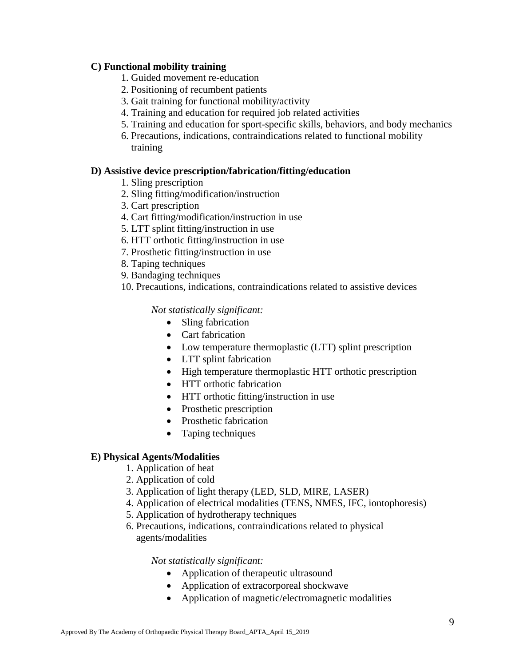#### **C) Functional mobility training**

- 1. Guided movement re-education
- 2. Positioning of recumbent patients
- 3. Gait training for functional mobility/activity
- 4. Training and education for required job related activities
- 5. Training and education for sport-specific skills, behaviors, and body mechanics
- 6. Precautions, indications, contraindications related to functional mobility training

#### **D) Assistive device prescription/fabrication/fitting/education**

- 1. Sling prescription
- 2. Sling fitting/modification/instruction
- 3. Cart prescription
- 4. Cart fitting/modification/instruction in use
- 5. LTT splint fitting/instruction in use
- 6. HTT orthotic fitting/instruction in use
- 7. Prosthetic fitting/instruction in use
- 8. Taping techniques
- 9. Bandaging techniques
- 10. Precautions, indications, contraindications related to assistive devices

#### *Not statistically significant:*

- Sling fabrication
- Cart fabrication
- Low temperature thermoplastic (LTT) splint prescription
- LTT splint fabrication
- High temperature thermoplastic HTT orthotic prescription
- HTT orthotic fabrication
- HTT orthotic fitting/instruction in use
- Prosthetic prescription
- Prosthetic fabrication
- Taping techniques

#### **E) Physical Agents/Modalities**

- 1. Application of heat
- 2. Application of cold
- 3. Application of light therapy (LED, SLD, MIRE, LASER)
- 4. Application of electrical modalities (TENS, NMES, IFC, iontophoresis)
- 5. Application of hydrotherapy techniques
- 6. Precautions, indications, contraindications related to physical agents/modalities

#### *Not statistically significant:*

- Application of therapeutic ultrasound
- Application of extracorporeal shockwave
- Application of magnetic/electromagnetic modalities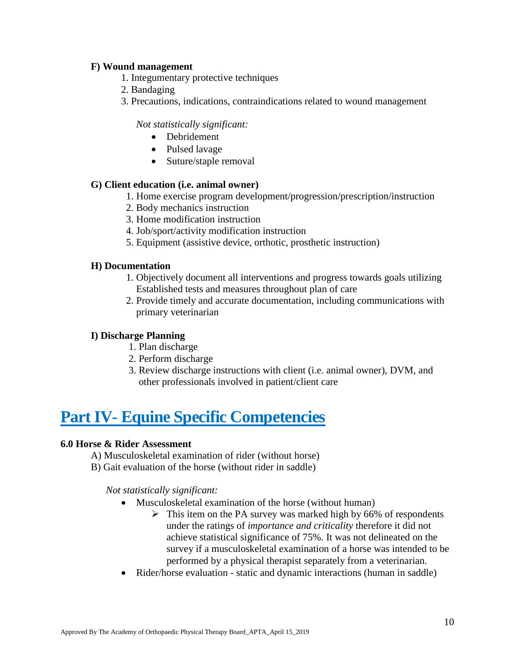#### **F) Wound management**

- 1. Integumentary protective techniques
- 2. Bandaging
- 3. Precautions, indications, contraindications related to wound management

#### *Not statistically significant:*

- Debridement
- Pulsed lavage
- Suture/staple removal

#### **G) Client education (i.e. animal owner)**

- 1. Home exercise program development/progression/prescription/instruction
- 2. Body mechanics instruction
- 3. Home modification instruction
- 4. Job/sport/activity modification instruction
- 5. Equipment (assistive device, orthotic, prosthetic instruction)

#### **H) Documentation**

- 1. Objectively document all interventions and progress towards goals utilizing Established tests and measures throughout plan of care
- 2. Provide timely and accurate documentation, including communications with primary veterinarian

#### **I) Discharge Planning**

- 1. Plan discharge
- 2. Perform discharge
- 3. Review discharge instructions with client (i.e. animal owner), DVM, and other professionals involved in patient/client care

# **Part IV- Equine Specific Competencies**

#### **6.0 Horse & Rider Assessment**

- A) Musculoskeletal examination of rider (without horse)
- B) Gait evaluation of the horse (without rider in saddle)

*Not statistically significant:* 

- Musculoskeletal examination of the horse (without human)
	- $\triangleright$  This item on the PA survey was marked high by 66% of respondents under the ratings of *importance and criticality* therefore it did not achieve statistical significance of 75%. It was not delineated on the survey if a musculoskeletal examination of a horse was intended to be performed by a physical therapist separately from a veterinarian.
- Rider/horse evaluation static and dynamic interactions (human in saddle)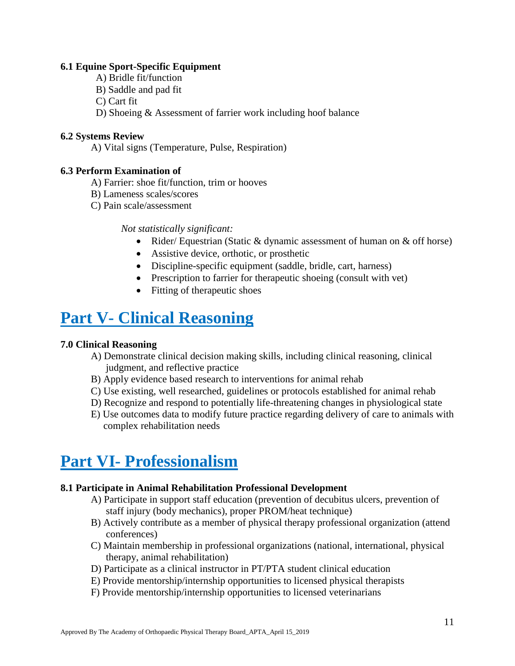#### **6.1 Equine Sport-Specific Equipment**

- A) Bridle fit/function
- B) Saddle and pad fit
- C) Cart fit
- D) Shoeing & Assessment of farrier work including hoof balance

#### **6.2 Systems Review**

A) Vital signs (Temperature, Pulse, Respiration)

#### **6.3 Perform Examination of**

- A) Farrier: shoe fit/function, trim or hooves
- B) Lameness scales/scores
- C) Pain scale/assessment

*Not statistically significant:* 

- Rider/ Equestrian (Static & dynamic assessment of human on & off horse)
- Assistive device, orthotic, or prosthetic
- Discipline-specific equipment (saddle, bridle, cart, harness)
- Prescription to farrier for therapeutic shoeing (consult with vet)
- Fitting of the rapeutic shoes

# **Part V- Clinical Reasoning**

#### **7.0 Clinical Reasoning**

- A) Demonstrate clinical decision making skills, including clinical reasoning, clinical judgment, and reflective practice
- B) Apply evidence based research to interventions for animal rehab
- C) Use existing, well researched, guidelines or protocols established for animal rehab
- D) Recognize and respond to potentially life-threatening changes in physiological state
- E) Use outcomes data to modify future practice regarding delivery of care to animals with complex rehabilitation needs

## **Part VI- Professionalism**

#### **8.1 Participate in Animal Rehabilitation Professional Development**

- A) Participate in support staff education (prevention of decubitus ulcers, prevention of staff injury (body mechanics), proper PROM/heat technique)
- B) Actively contribute as a member of physical therapy professional organization (attend conferences)
- C) Maintain membership in professional organizations (national, international, physical therapy, animal rehabilitation)
- D) Participate as a clinical instructor in PT/PTA student clinical education
- E) Provide mentorship/internship opportunities to licensed physical therapists
- F) Provide mentorship/internship opportunities to licensed veterinarians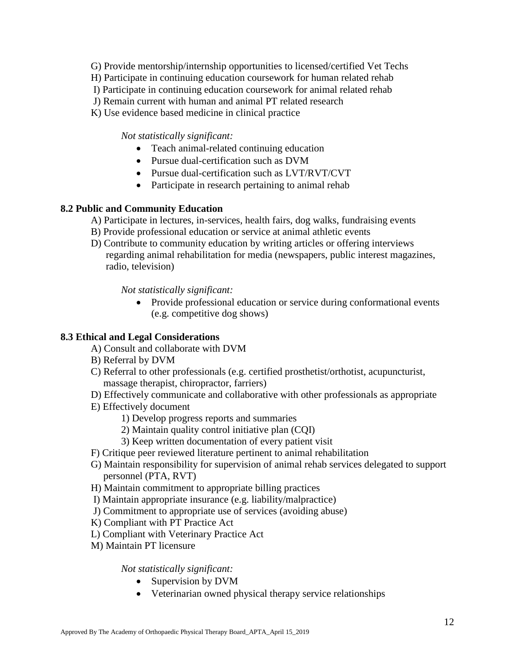- G) Provide mentorship/internship opportunities to licensed/certified Vet Techs
- H) Participate in continuing education coursework for human related rehab
- I) Participate in continuing education coursework for animal related rehab
- J) Remain current with human and animal PT related research
- K) Use evidence based medicine in clinical practice

#### *Not statistically significant:*

- Teach animal-related continuing education
- Pursue dual-certification such as DVM
- Pursue dual-certification such as LVT/RVT/CVT
- Participate in research pertaining to animal rehab

#### **8.2 Public and Community Education**

- A) Participate in lectures, in-services, health fairs, dog walks, fundraising events
- B) Provide professional education or service at animal athletic events
- D) Contribute to community education by writing articles or offering interviews regarding animal rehabilitation for media (newspapers, public interest magazines, radio, television)

*Not statistically significant:* 

 Provide professional education or service during conformational events (e.g. competitive dog shows)

#### **8.3 Ethical and Legal Considerations**

- A) Consult and collaborate with DVM
- B) Referral by DVM
- C) Referral to other professionals (e.g. certified prosthetist/orthotist, acupuncturist, massage therapist, chiropractor, farriers)
- D) Effectively communicate and collaborative with other professionals as appropriate
- E) Effectively document
	- 1) Develop progress reports and summaries
	- 2) Maintain quality control initiative plan (CQI)
	- 3) Keep written documentation of every patient visit
- F) Critique peer reviewed literature pertinent to animal rehabilitation
- G) Maintain responsibility for supervision of animal rehab services delegated to support personnel (PTA, RVT)
- H) Maintain commitment to appropriate billing practices
- I) Maintain appropriate insurance (e.g. liability/malpractice)
- J) Commitment to appropriate use of services (avoiding abuse)
- K) Compliant with PT Practice Act
- L) Compliant with Veterinary Practice Act
- M) Maintain PT licensure

*Not statistically significant:* 

- Supervision by DVM
- Veterinarian owned physical therapy service relationships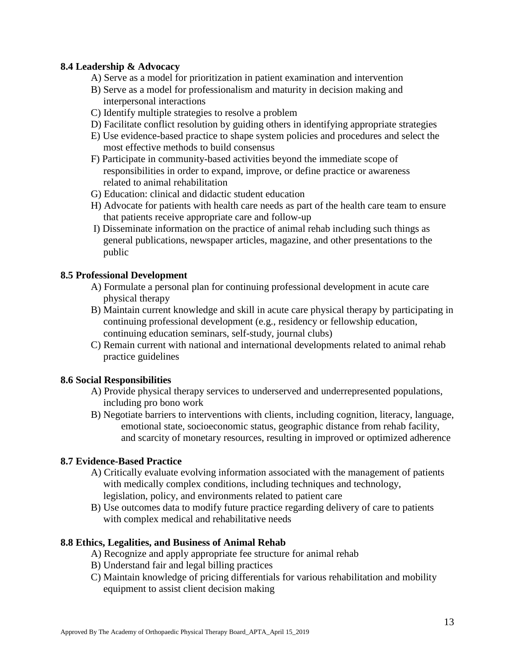#### **8.4 Leadership & Advocacy**

- A) Serve as a model for prioritization in patient examination and intervention
- B) Serve as a model for professionalism and maturity in decision making and interpersonal interactions
- C) Identify multiple strategies to resolve a problem
- D) Facilitate conflict resolution by guiding others in identifying appropriate strategies
- E) Use evidence-based practice to shape system policies and procedures and select the most effective methods to build consensus
- F) Participate in community-based activities beyond the immediate scope of responsibilities in order to expand, improve, or define practice or awareness related to animal rehabilitation
- G) Education: clinical and didactic student education
- H) Advocate for patients with health care needs as part of the health care team to ensure that patients receive appropriate care and follow-up
- I) Disseminate information on the practice of animal rehab including such things as general publications, newspaper articles, magazine, and other presentations to the public

#### **8.5 Professional Development**

- A) Formulate a personal plan for continuing professional development in acute care physical therapy
- B) Maintain current knowledge and skill in acute care physical therapy by participating in continuing professional development (e.g., residency or fellowship education, continuing education seminars, self-study, journal clubs)
- C) Remain current with national and international developments related to animal rehab practice guidelines

#### **8.6 Social Responsibilities**

- A) Provide physical therapy services to underserved and underrepresented populations, including pro bono work
- B) Negotiate barriers to interventions with clients, including cognition, literacy, language, emotional state, socioeconomic status, geographic distance from rehab facility, and scarcity of monetary resources, resulting in improved or optimized adherence

#### **8.7 Evidence-Based Practice**

- A) Critically evaluate evolving information associated with the management of patients with medically complex conditions, including techniques and technology, legislation, policy, and environments related to patient care
- B) Use outcomes data to modify future practice regarding delivery of care to patients with complex medical and rehabilitative needs

#### **8.8 Ethics, Legalities, and Business of Animal Rehab**

- A) Recognize and apply appropriate fee structure for animal rehab
- B) Understand fair and legal billing practices
- C) Maintain knowledge of pricing differentials for various rehabilitation and mobility equipment to assist client decision making